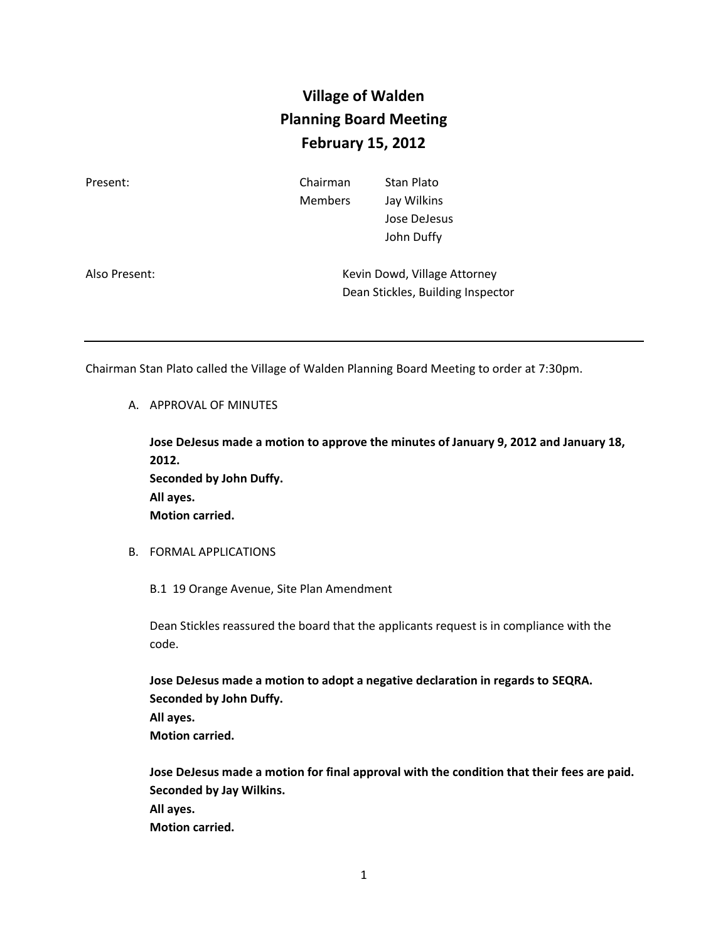## **Village of Walden Planning Board Meeting February 15, 2012**

| Present:      | Chairman<br><b>Members</b> | Stan Plato<br>Jay Wilkins<br>Jose DeJesus<br>John Duffy           |
|---------------|----------------------------|-------------------------------------------------------------------|
| Also Present: |                            | Kevin Dowd, Village Attorney<br>Dean Stickles, Building Inspector |

Chairman Stan Plato called the Village of Walden Planning Board Meeting to order at 7:30pm.

A. APPROVAL OF MINUTES

**Jose DeJesus made a motion to approve the minutes of January 9, 2012 and January 18, 2012. Seconded by John Duffy. All ayes. Motion carried.**

B. FORMAL APPLICATIONS

B.1 19 Orange Avenue, Site Plan Amendment

Dean Stickles reassured the board that the applicants request is in compliance with the code.

**Jose DeJesus made a motion to adopt a negative declaration in regards to SEQRA. Seconded by John Duffy. All ayes. Motion carried.**

**Jose DeJesus made a motion for final approval with the condition that their fees are paid. Seconded by Jay Wilkins. All ayes. Motion carried.**